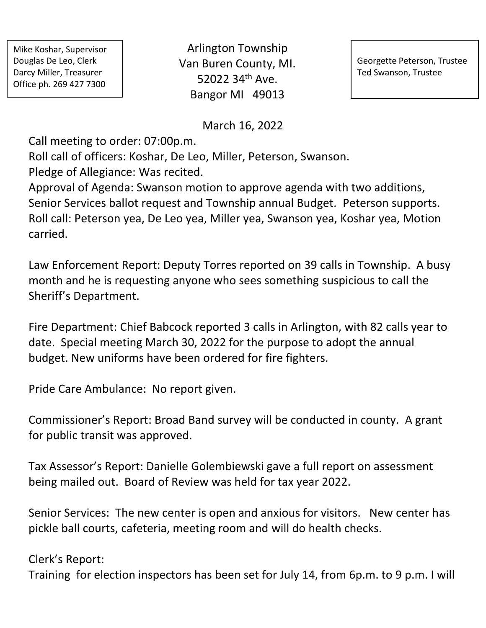Mike Koshar, Supervisor Douglas De Leo, Clerk Darcy Miller, Treasurer Office ph. 269 427 7300

Arlington Township Van Buren County, MI. 52022 34th Ave. Bangor MI 49013

Georgette Peterson, Trustee Ted Swanson, Trustee

March 16, 2022

Call meeting to order: 07:00p.m.

Roll call of officers: Koshar, De Leo, Miller, Peterson, Swanson.

Pledge of Allegiance: Was recited.

Approval of Agenda: Swanson motion to approve agenda with two additions, Senior Services ballot request and Township annual Budget. Peterson supports. Roll call: Peterson yea, De Leo yea, Miller yea, Swanson yea, Koshar yea, Motion carried.

Law Enforcement Report: Deputy Torres reported on 39 calls in Township. A busy month and he is requesting anyone who sees something suspicious to call the Sheriff's Department.

Fire Department: Chief Babcock reported 3 calls in Arlington, with 82 calls year to date. Special meeting March 30, 2022 for the purpose to adopt the annual budget. New uniforms have been ordered for fire fighters.

Pride Care Ambulance: No report given.

Commissioner's Report: Broad Band survey will be conducted in county. A grant for public transit was approved.

Tax Assessor's Report: Danielle Golembiewski gave a full report on assessment being mailed out. Board of Review was held for tax year 2022.

Senior Services: The new center is open and anxious for visitors. New center has pickle ball courts, cafeteria, meeting room and will do health checks.

Clerk's Report: Training for election inspectors has been set for July 14, from 6p.m. to 9 p.m. I will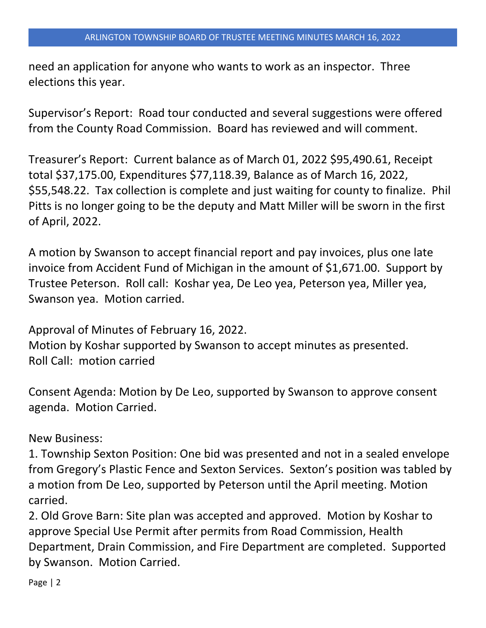need an application for anyone who wants to work as an inspector. Three elections this year.

Supervisor's Report: Road tour conducted and several suggestions were offered from the County Road Commission. Board has reviewed and will comment.

Treasurer's Report: Current balance as of March 01, 2022 \$95,490.61, Receipt total \$37,175.00, Expenditures \$77,118.39, Balance as of March 16, 2022, \$55,548.22. Tax collection is complete and just waiting for county to finalize. Phil Pitts is no longer going to be the deputy and Matt Miller will be sworn in the first of April, 2022.

A motion by Swanson to accept financial report and pay invoices, plus one late invoice from Accident Fund of Michigan in the amount of \$1,671.00. Support by Trustee Peterson. Roll call: Koshar yea, De Leo yea, Peterson yea, Miller yea, Swanson yea. Motion carried.

Approval of Minutes of February 16, 2022. Motion by Koshar supported by Swanson to accept minutes as presented.

Roll Call: motion carried

Consent Agenda: Motion by De Leo, supported by Swanson to approve consent agenda. Motion Carried.

New Business:

1. Township Sexton Position: One bid was presented and not in a sealed envelope from Gregory's Plastic Fence and Sexton Services. Sexton's position was tabled by a motion from De Leo, supported by Peterson until the April meeting. Motion carried.

2. Old Grove Barn: Site plan was accepted and approved. Motion by Koshar to approve Special Use Permit after permits from Road Commission, Health Department, Drain Commission, and Fire Department are completed. Supported by Swanson. Motion Carried.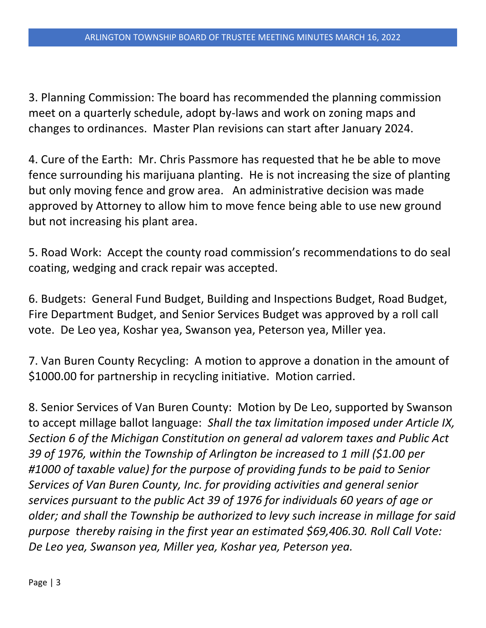3. Planning Commission: The board has recommended the planning commission meet on a quarterly schedule, adopt by-laws and work on zoning maps and changes to ordinances. Master Plan revisions can start after January 2024.

4. Cure of the Earth: Mr. Chris Passmore has requested that he be able to move fence surrounding his marijuana planting. He is not increasing the size of planting but only moving fence and grow area. An administrative decision was made approved by Attorney to allow him to move fence being able to use new ground but not increasing his plant area.

5. Road Work: Accept the county road commission's recommendations to do seal coating, wedging and crack repair was accepted.

6. Budgets: General Fund Budget, Building and Inspections Budget, Road Budget, Fire Department Budget, and Senior Services Budget was approved by a roll call vote. De Leo yea, Koshar yea, Swanson yea, Peterson yea, Miller yea.

7. Van Buren County Recycling: A motion to approve a donation in the amount of \$1000.00 for partnership in recycling initiative. Motion carried.

8. Senior Services of Van Buren County: Motion by De Leo, supported by Swanson to accept millage ballot language: *Shall the tax limitation imposed under Article IX, Section 6 of the Michigan Constitution on general ad valorem taxes and Public Act 39 of 1976, within the Township of Arlington be increased to 1 mill (\$1.00 per #1000 of taxable value) for the purpose of providing funds to be paid to Senior Services of Van Buren County, Inc. for providing activities and general senior services pursuant to the public Act 39 of 1976 for individuals 60 years of age or older; and shall the Township be authorized to levy such increase in millage for said purpose thereby raising in the first year an estimated \$69,406.30. Roll Call Vote: De Leo yea, Swanson yea, Miller yea, Koshar yea, Peterson yea.*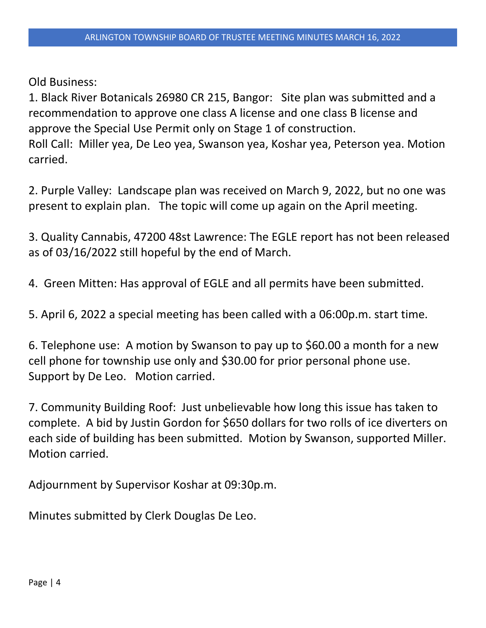Old Business:

1. Black River Botanicals 26980 CR 215, Bangor: Site plan was submitted and a recommendation to approve one class A license and one class B license and approve the Special Use Permit only on Stage 1 of construction. Roll Call: Miller yea, De Leo yea, Swanson yea, Koshar yea, Peterson yea. Motion carried.

2. Purple Valley: Landscape plan was received on March 9, 2022, but no one was present to explain plan. The topic will come up again on the April meeting.

3. Quality Cannabis, 47200 48st Lawrence: The EGLE report has not been released as of 03/16/2022 still hopeful by the end of March.

4. Green Mitten: Has approval of EGLE and all permits have been submitted.

5. April 6, 2022 a special meeting has been called with a 06:00p.m. start time.

6. Telephone use: A motion by Swanson to pay up to \$60.00 a month for a new cell phone for township use only and \$30.00 for prior personal phone use. Support by De Leo. Motion carried.

7. Community Building Roof: Just unbelievable how long this issue has taken to complete. A bid by Justin Gordon for \$650 dollars for two rolls of ice diverters on each side of building has been submitted. Motion by Swanson, supported Miller. Motion carried.

Adjournment by Supervisor Koshar at 09:30p.m.

Minutes submitted by Clerk Douglas De Leo.